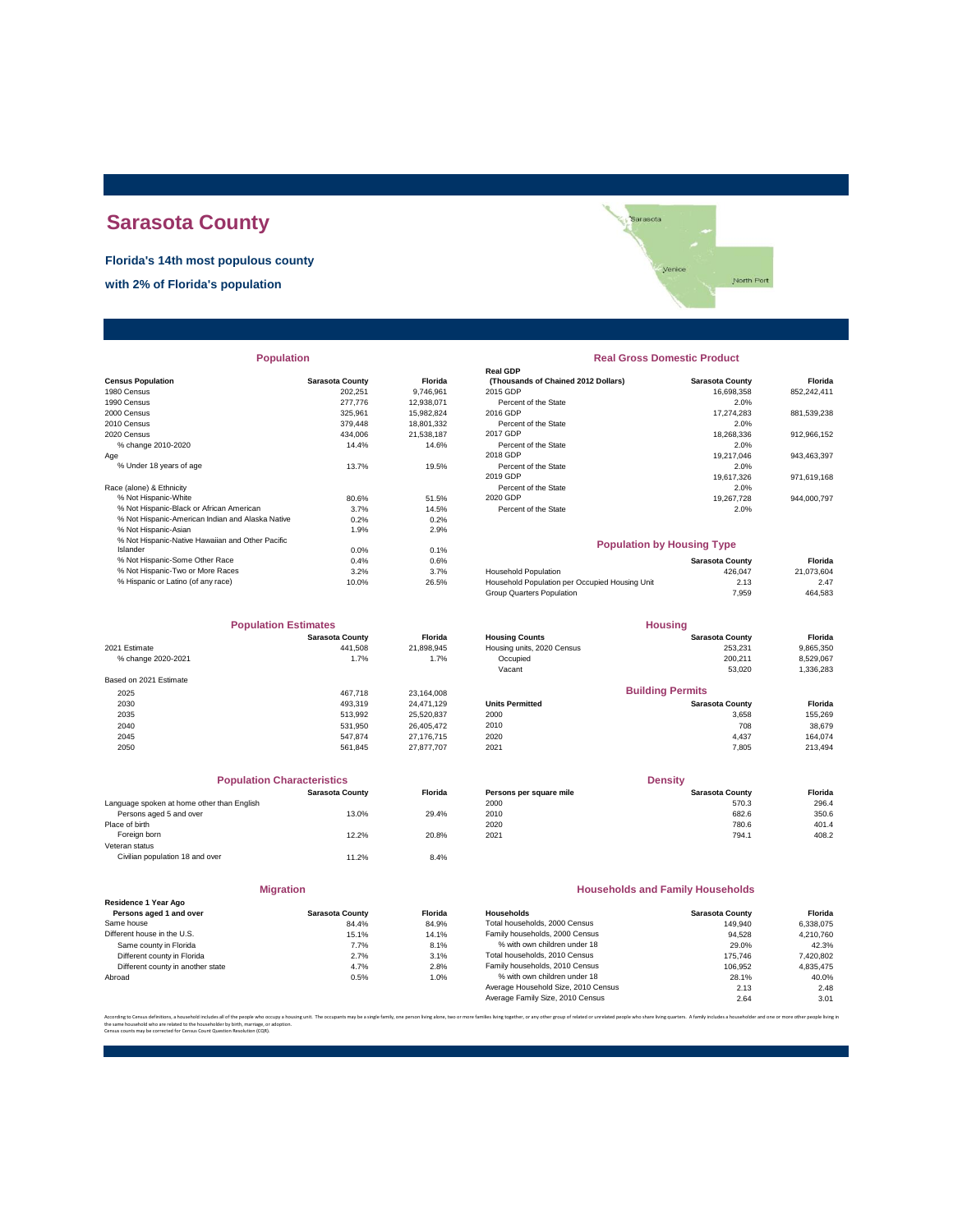# **Sarasota County**

**Florida's 14th most populous county**

**with 2% of Florida's population**



| <b>Population</b> |  |  |
|-------------------|--|--|
|                   |  |  |

|                                                  |                        |            | Real GDP                                       |                        |             |
|--------------------------------------------------|------------------------|------------|------------------------------------------------|------------------------|-------------|
| <b>Census Population</b>                         | <b>Sarasota County</b> | Florida    | (Thousands of Chained 2012 Dollars)            | <b>Sarasota County</b> | Florida     |
| 1980 Census                                      | 202,251                | 9,746,961  | 2015 GDP                                       | 16,698,358             | 852,242,411 |
| 1990 Census                                      | 277,776                | 12.938.071 | Percent of the State                           | 2.0%                   |             |
| 2000 Census                                      | 325.961                | 15,982,824 | 2016 GDP                                       | 17.274.283             | 881,539,238 |
| 2010 Census                                      | 379,448                | 18,801,332 | Percent of the State                           | 2.0%                   |             |
| 2020 Census                                      | 434.006                | 21.538.187 | 2017 GDP                                       | 18.268.336             | 912,966,152 |
| % change 2010-2020                               | 14.4%                  | 14.6%      | Percent of the State                           | 2.0%                   |             |
| Age                                              |                        |            | 2018 GDP                                       | 19,217,046             | 943,463,397 |
| % Under 18 years of age                          | 13.7%                  | 19.5%      | Percent of the State                           | 2.0%                   |             |
|                                                  |                        |            | 2019 GDP                                       | 19.617.326             | 971,619,168 |
| Race (alone) & Ethnicity                         |                        |            | Percent of the State                           | 2.0%                   |             |
| % Not Hispanic-White                             | 80.6%                  | 51.5%      | 2020 GDP                                       | 19,267,728             | 944,000,797 |
| % Not Hispanic-Black or African American         | 3.7%                   | 14.5%      | Percent of the State                           | 2.0%                   |             |
| % Not Hispanic-American Indian and Alaska Native | 0.2%                   | 0.2%       |                                                |                        |             |
| % Not Hispanic-Asian                             | 1.9%                   | 2.9%       |                                                |                        |             |
| % Not Hispanic-Native Hawaiian and Other Pacific |                        |            | <b>Population by Housing Type</b>              |                        |             |
| Islander                                         | 0.0%                   | 0.1%       |                                                |                        |             |
| % Not Hispanic-Some Other Race                   | 0.4%                   | 0.6%       |                                                | <b>Sarasota County</b> | Florida     |
| % Not Hispanic-Two or More Races                 | 3.2%                   | 3.7%       | <b>Household Population</b>                    | 426.047                | 21,073,604  |
| % Hispanic or Latino (of any race)               | 10.0%                  | 26.5%      | Household Population per Occupied Housing Unit | 2.13                   | 2.47        |
|                                                  |                        |            |                                                |                        |             |

| <b>Population Estimates</b> |                        |                | <b>Housing</b>             |                         |           |  |
|-----------------------------|------------------------|----------------|----------------------------|-------------------------|-----------|--|
|                             | <b>Sarasota County</b> | <b>Florida</b> | <b>Housing Counts</b>      | <b>Sarasota County</b>  | Florida   |  |
| 2021 Estimate               | 441.508                | 21,898,945     | Housing units, 2020 Census | 253.231                 | 9,865,350 |  |
| % change 2020-2021          | 1.7%                   | 1.7%           | Occupied                   | 200.211                 | 8,529,067 |  |
|                             |                        |                | Vacant                     | 53,020                  | 1,336,283 |  |
| Based on 2021 Estimate      |                        |                |                            |                         |           |  |
| 2025                        | 467.718                | 23.164.008     |                            | <b>Building Permits</b> |           |  |
| 2030                        | 493.319                | 24.471.129     | <b>Units Permitted</b>     | <b>Sarasota County</b>  | Florida   |  |
| 2035                        | 513.992                | 25,520,837     | 2000                       | 3.658                   | 155,269   |  |
| 2040                        | 531.950                | 26.405.472     | 2010                       | 708                     | 38,679    |  |
| 2045                        | 547.874                | 27.176.715     | 2020                       | 4,437                   | 164.074   |  |
| 2050                        | 561.845                | 27.877.707     | 2021                       | 7.805                   | 213,494   |  |

|                                            | <b>Population Characteristics</b> |                |
|--------------------------------------------|-----------------------------------|----------------|
|                                            | <b>Sarasota County</b>            | <b>Florida</b> |
| Language spoken at home other than English |                                   |                |
| Persons aged 5 and over                    | 13.0%                             | 29.4%          |
| Place of birth                             |                                   |                |
| Foreign born                               | 12.2%                             | 20.8%          |
| Veteran status                             |                                   |                |
| Civilian population 18 and over            | 11.2%                             | 8.4%           |
|                                            |                                   |                |

#### **Migration**

|                                   | 11111                  |         |
|-----------------------------------|------------------------|---------|
| Residence 1 Year Ago              |                        |         |
| Persons aged 1 and over           | <b>Sarasota County</b> | Florida |
| Same house                        | 84.4%                  | 84.9%   |
| Different house in the U.S.       | 15.1%                  | 14.1%   |
| Same county in Florida            | 7.7%                   | 8.1%    |
| Different county in Florida       | 2.7%                   | 3.1%    |
| Different county in another state | 4.7%                   | 2.8%    |
| Abroad                            | 0.5%                   | 1.0%    |
|                                   |                        |         |

## **Population Real Gross Domestic Product**

| sus Population                           | <b>Sarasota County</b> | <b>Florida</b> | (Thousands of Chained 2012 Dollars) | <b>Sarasota County</b> | Florida     |
|------------------------------------------|------------------------|----------------|-------------------------------------|------------------------|-------------|
| 0 Census                                 | 202.251                | 9.746.961      | 2015 GDP                            | 16.698.358             | 852.242.411 |
| 0 Census                                 | 277,776                | 12.938.071     | Percent of the State                | 2.0%                   |             |
| 0 Census                                 | 325.961                | 15.982.824     | 2016 GDP                            | 17.274.283             | 881.539.238 |
| 0 Census                                 | 379,448                | 18.801.332     | Percent of the State                | 2.0%                   |             |
| 0 Census                                 | 434.006                | 21.538.187     | 2017 GDP                            | 18.268.336             | 912.966.152 |
| % change 2010-2020                       | 14.4%                  | 14.6%          | Percent of the State                | 2.0%                   |             |
|                                          |                        |                | 2018 GDP                            | 19.217.046             | 943.463.397 |
| % Under 18 years of age                  | 13.7%                  | 19.5%          | Percent of the State                | 2.0%                   |             |
|                                          |                        |                | 2019 GDP                            | 19.617.326             | 971,619,168 |
| e (alone) & Ethnicity                    |                        |                | Percent of the State                | 2.0%                   |             |
| % Not Hispanic-White                     | 80.6%                  | 51.5%          | 2020 GDP                            | 19.267.728             | 944.000.797 |
| % Not Hispanic-Black or African American | 3.7%                   | 14.5%          | Percent of the State                | 2.0%                   |             |
|                                          | - ---                  | - ---          |                                     |                        |             |

#### **Population by Housing Type**

| 0.4%  | 0.6%  |                                                | Sarasota County | Florida    |
|-------|-------|------------------------------------------------|-----------------|------------|
| 3.2%  | 3.7%  | <b>Household Population</b>                    | 426.047         | 21.073.604 |
| 10.0% | 26.5% | Household Population per Occupied Housing Unit | 2.13            | 2.47       |
|       |       | Group Quarters Population                      | 7.959           | 464,583    |
|       |       |                                                |                 |            |

| <b>Population Estimates</b> |                        |                | <b>Housing</b>             |                             |                |  |
|-----------------------------|------------------------|----------------|----------------------------|-----------------------------|----------------|--|
|                             | <b>Sarasota County</b> | <b>Florida</b> | <b>Housing Counts</b>      | <b>Sarasota County</b>      | <b>Florida</b> |  |
| 2021 Estimate               | 441.508                | 21.898.945     | Housing units, 2020 Census | 253.231                     | 9,865,350      |  |
| % change 2020-2021          | 1.7%                   | 1.7%           | Occupied                   | 200.211                     | 8,529,067      |  |
|                             |                        |                | Vacant                     | 53,020                      | 1,336,283      |  |
| Based on 2021 Estimate      |                        |                |                            |                             |                |  |
| 2025                        | 467.718                | 23.164.008     |                            | <b>Building Permits</b>     |                |  |
| 2030                        | 493.319                | 24.471.129     | <b>Units Permitted</b>     | <b>Sarasota County</b>      | <b>Florida</b> |  |
| 2035                        | 513.992                | 25,520,837     | 2000                       | 3.658                       | 155,269        |  |
| 2040                        | 531.950                | 26.405.472     | 2010                       | 708                         | 38,679         |  |
| $\cdots$                    | $    -$                | $\cdots$       | -----                      | $\sim$ $\sim$ $\sim$ $\sim$ | $\cdots$       |  |

| <b>Population Characteristics</b> |                |                         | <b>Density</b>         |         |  |
|-----------------------------------|----------------|-------------------------|------------------------|---------|--|
| <b>Sarasota County</b>            | <b>Florida</b> | Persons per square mile | <b>Sarasota County</b> | Florida |  |
|                                   |                | 2000                    | 570.3                  | 296.4   |  |
| 13.0%                             | 29.4%          | 2010                    | 682.6                  | 350.6   |  |
|                                   |                | 2020                    | 780.6                  | 401.4   |  |
| 12.2%                             | 20.8%          | 2021                    | 794.1                  | 408.2   |  |
|                                   |                |                         |                        |         |  |

#### **Households and Family Households**

| Residence 1 Year Ago              |                        |                |                                     |                        |           |
|-----------------------------------|------------------------|----------------|-------------------------------------|------------------------|-----------|
| Persons aged 1 and over           | <b>Sarasota County</b> | <b>Florida</b> | Households                          | <b>Sarasota County</b> | Florida   |
| Same house                        | 84.4%                  | 84.9%          | Total households, 2000 Census       | 149.940                | 6.338.075 |
| Different house in the U.S.       | 15.1%                  | 14.1%          | Family households, 2000 Census      | 94.528                 | 4.210.760 |
| Same county in Florida            | 7.7%                   | 8.1%           | % with own children under 18        | 29.0%                  | 42.3%     |
| Different county in Florida       | 2.7%                   | 3.1%           | Total households, 2010 Census       | 175.746                | 7,420,802 |
| Different county in another state | 4.7%                   | 2.8%           | Family households, 2010 Census      | 106.952                | 4.835.475 |
| Abroad                            | 0.5%                   | 1.0%           | % with own children under 18        | 28.1%                  | 40.0%     |
|                                   |                        |                | Average Household Size, 2010 Census | 2.13                   | 2.48      |
|                                   |                        |                | Average Family Size, 2010 Census    | 2.64                   | 3.01      |

.<br>re families living together, or any other group of related or unrelated people who share living quarters. A family includes a householder and one or more other pe

the same household who are related to the householder by birth, marriage, or adoption. Census counts may be corrected for Census Count Question Resolution (CQR).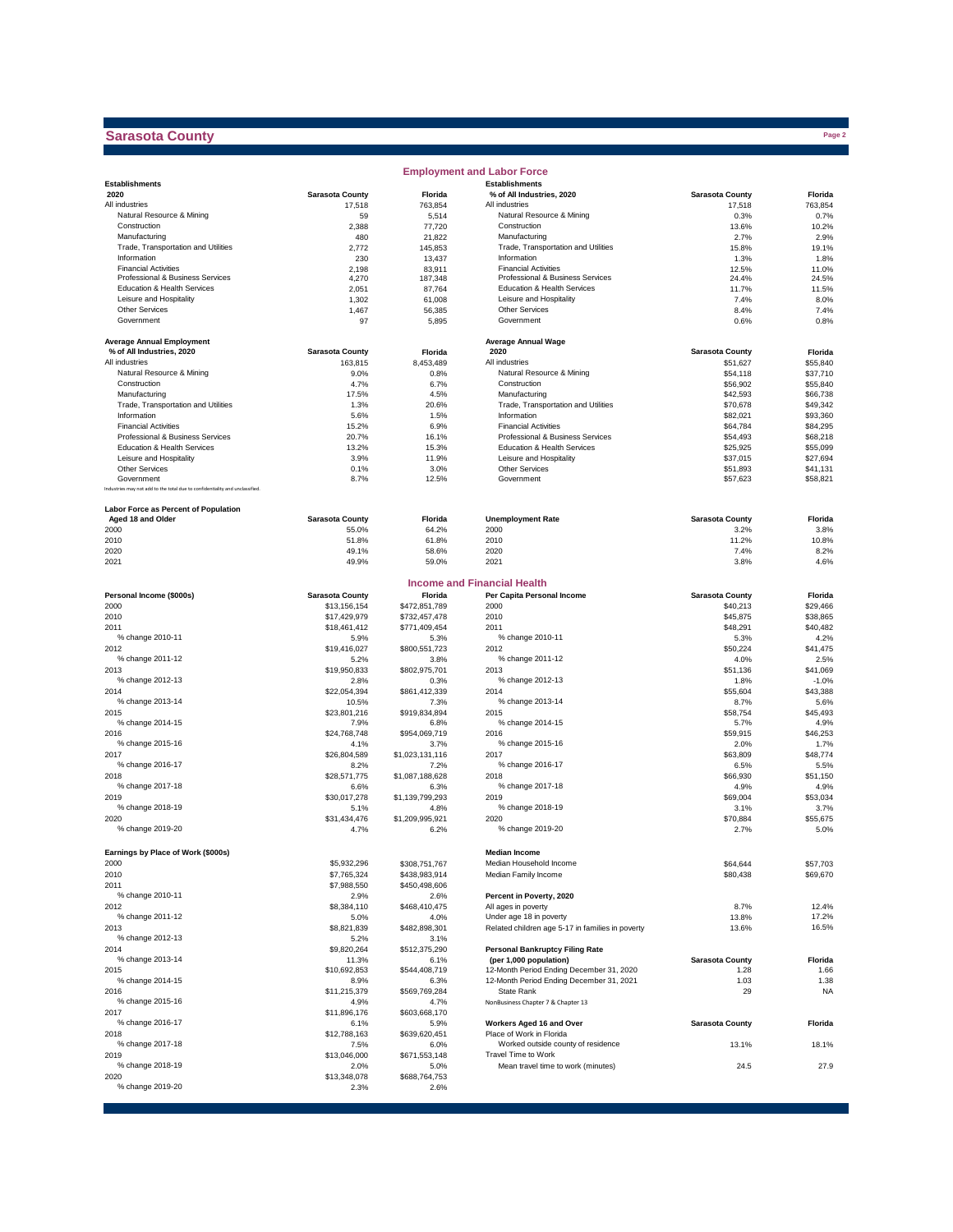### **Sarasota County**

|                                                                              |                        |                       | <b>Employment and Labor Force</b>                         |                        |                      |
|------------------------------------------------------------------------------|------------------------|-----------------------|-----------------------------------------------------------|------------------------|----------------------|
| <b>Establishments</b>                                                        |                        |                       | <b>Establishments</b>                                     |                        |                      |
| 2020                                                                         | <b>Sarasota County</b> | Florida               | % of All Industries, 2020                                 | <b>Sarasota County</b> | Florida              |
| All industries<br>Natural Resource & Mining                                  | 17,518                 | 763,854<br>5,514      | All industries<br>Natural Resource & Mining               | 17,518<br>0.3%         | 763,854<br>0.7%      |
| Construction                                                                 | 59<br>2,388            | 77,720                | Construction                                              | 13.6%                  | 10.2%                |
| Manufacturing                                                                | 480                    | 21,822                | Manufacturing                                             | 2.7%                   | 2.9%                 |
| Trade, Transportation and Utilities                                          | 2,772                  | 145,853               | Trade, Transportation and Utilities                       | 15.8%                  | 19.1%                |
| Information                                                                  | 230                    | 13,437                | Information                                               | 1.3%                   | 1.8%                 |
| <b>Financial Activities</b>                                                  | 2,198                  | 83,911                | <b>Financial Activities</b>                               | 12.5%                  | 11.0%                |
| Professional & Business Services                                             | 4,270                  | 187,348               | Professional & Business Services                          | 24.4%                  | 24.5%                |
| Education & Health Services                                                  | 2,051                  | 87,764                | Education & Health Services                               | 11.7%                  | 11.5%                |
| Leisure and Hospitality                                                      | 1,302                  | 61,008                | Leisure and Hospitality                                   | 7.4%                   | 8.0%                 |
| Other Services                                                               | 1,467                  | 56,385                | Other Services                                            | 8.4%                   | 7.4%                 |
| Government                                                                   | 97                     | 5,895                 | Government                                                | 0.6%                   | 0.8%                 |
|                                                                              |                        |                       |                                                           |                        |                      |
| <b>Average Annual Employment</b>                                             |                        |                       | <b>Average Annual Wage</b>                                |                        |                      |
| % of All Industries, 2020                                                    | <b>Sarasota County</b> | Florida               | 2020                                                      | <b>Sarasota County</b> | Florida              |
| All industries<br>Natural Resource & Mining                                  | 163,815                | 8,453,489             | All industries                                            | \$51,627               | \$55,840             |
| Construction                                                                 | 9.0%<br>4.7%           | 0.8%<br>6.7%          | Natural Resource & Mining<br>Construction                 | \$54,118<br>\$56,902   | \$37,710<br>\$55,840 |
|                                                                              | 17.5%                  | 4.5%                  |                                                           |                        |                      |
| Manufacturing<br>Trade, Transportation and Utilities                         | 1.3%                   | 20.6%                 | Manufacturing<br>Trade, Transportation and Utilities      | \$42,593<br>\$70,678   | \$66,738             |
| Information                                                                  | 5.6%                   | 1.5%                  | Information                                               | \$82,021               | \$49,342<br>\$93,360 |
| <b>Financial Activities</b>                                                  | 15.2%                  | 6.9%                  | <b>Financial Activities</b>                               | \$64,784               | \$84,295             |
| Professional & Business Services                                             | 20.7%                  | 16.1%                 | Professional & Business Services                          | \$54,493               | \$68,218             |
| Education & Health Services                                                  | 13.2%                  | 15.3%                 | Education & Health Services                               | \$25,925               | \$55,099             |
| Leisure and Hospitality                                                      | 3.9%                   | 11.9%                 | Leisure and Hospitality                                   | \$37,015               | \$27,694             |
| Other Services                                                               | 0.1%                   | 3.0%                  | Other Services                                            | \$51,893               | \$41,131             |
| Government                                                                   | 8.7%                   | 12.5%                 | Government                                                | \$57,623               | \$58,821             |
| Industries may not add to the total due to confidentiality and unclassified. |                        |                       |                                                           |                        |                      |
|                                                                              |                        |                       |                                                           |                        |                      |
| Labor Force as Percent of Population                                         |                        |                       |                                                           |                        |                      |
| Aged 18 and Older                                                            | <b>Sarasota County</b> | Florida               | <b>Unemployment Rate</b>                                  | <b>Sarasota County</b> | Florida              |
| 2000                                                                         | 55.0%                  | 64.2%                 | 2000                                                      | 3.2%                   | 3.8%                 |
| 2010                                                                         | 51.8%                  | 61.8%                 | 2010                                                      | 11.2%                  | 10.8%                |
| 2020                                                                         | 49.1%                  | 58.6%                 | 2020                                                      | 7.4%                   | 8.2%                 |
| 2021                                                                         | 49.9%                  | 59.0%                 | 2021                                                      | 3.8%                   | 4.6%                 |
|                                                                              |                        |                       |                                                           |                        |                      |
|                                                                              |                        |                       | <b>Income and Financial Health</b>                        |                        |                      |
| Personal Income (\$000s)                                                     | <b>Sarasota County</b> | Florida               | Per Capita Personal Income                                | <b>Sarasota County</b> | Florida              |
| 2000                                                                         | \$13,156,154           | \$472,851,789         | 2000                                                      | \$40,213               | \$29,466             |
| 2010                                                                         | \$17,429,979           | \$732,457,478         | 2010                                                      | \$45,875               | \$38,865             |
| 2011<br>% change 2010-11                                                     | \$18,461,412           | \$771,409,454         | 2011<br>% change 2010-11                                  | \$48,291               | \$40,482             |
| 2012                                                                         | 5.9%<br>\$19,416,027   | 5.3%<br>\$800,551,723 | 2012                                                      | 5.3%<br>\$50,224       | 4.2%<br>\$41,475     |
| % change 2011-12                                                             | 5.2%                   | 3.8%                  | % change 2011-12                                          | 4.0%                   | 2.5%                 |
| 2013                                                                         | \$19,950,833           | \$802,975,701         | 2013                                                      | \$51,136               | \$41,069             |
| % change 2012-13                                                             | 2.8%                   | 0.3%                  | % change 2012-13                                          | 1.8%                   | $-1.0%$              |
| 2014                                                                         | \$22,054,394           | \$861,412,339         | 2014                                                      | \$55,604               | \$43,388             |
| % change 2013-14                                                             | 10.5%                  | 7.3%                  | % change 2013-14                                          | 8.7%                   | 5.6%                 |
| 2015                                                                         | \$23,801,216           | \$919,834,894         | 2015                                                      | \$58,754               | \$45,493             |
| % change 2014-15                                                             | 7.9%                   | 6.8%                  | % change 2014-15                                          | 5.7%                   | 4.9%                 |
| 2016                                                                         | \$24,768,748           | \$954,069,719         | 2016                                                      | \$59,915               | \$46,253             |
| % change 2015-16                                                             | 4.1%                   | 3.7%                  | % change 2015-16                                          | 2.0%                   | 1.7%                 |
| 2017                                                                         | \$26,804,589           | \$1,023,131,116       | 2017                                                      | \$63,809               | \$48,774             |
| % change 2016-17                                                             | 8.2%                   | 7.2%                  | % change 2016-17                                          | 6.5%                   | 5.5%                 |
| 2018                                                                         | \$28,571,775           | \$1,087,188,628       | 2018                                                      | \$66,930               | \$51,150             |
| % change 2017-18                                                             | 6.6%                   | 6.3%                  | % change 2017-18                                          | 4.9%                   | 4.9%                 |
| 2019                                                                         | \$30,017,278           | \$1,139,799,293       | 2019                                                      | \$69,004               | \$53,034             |
| % change 2018-19                                                             | 5.1%                   | 4.8%                  | % change 2018-19                                          | 3.1%                   | 3.7%                 |
| 2020                                                                         | \$31,434,476           | \$1,209,995,921       | 2020                                                      | \$70,884               | \$55,675             |
| % change 2019-20                                                             | 4.7%                   | 6.2%                  | % change 2019-20                                          | 2.7%                   | 5.0%                 |
|                                                                              |                        |                       |                                                           |                        |                      |
| Earnings by Place of Work (\$000s)                                           |                        |                       | <b>Median Income</b>                                      |                        |                      |
| 2000                                                                         | \$5,932,296            | \$308,751,767         | Median Household Income                                   | \$64,644               | \$57,703             |
| 2010                                                                         | \$7,765,324            | \$438,983,914         | Median Family Income                                      | \$80,438               | \$69,670             |
| 2011                                                                         | \$7,988,550            | \$450,498,606         |                                                           |                        |                      |
| % change 2010-11                                                             | 2.9%                   | 2.6%                  | Percent in Poverty, 2020                                  |                        |                      |
| 2012                                                                         | \$8,384,110            | \$468,410,475         | All ages in poverty                                       | 8.7%                   | 12.4%                |
| % change 2011-12                                                             | 5.0%                   | 4.0%                  | Under age 18 in poverty                                   | 13.8%                  | 17.2%                |
| 2013                                                                         | \$8,821,839            | \$482,898,301         | Related children age 5-17 in families in poverty          | 13.6%                  | 16.5%                |
| % change 2012-13                                                             | 5.2%                   | 3.1%                  |                                                           |                        |                      |
| 2014                                                                         | \$9,820,264            | \$512,375,290         | Personal Bankruptcy Filing Rate                           |                        |                      |
| % change 2013-14                                                             | 11.3%                  | 6.1%                  | (per 1,000 population)                                    | <b>Sarasota County</b> | Florida              |
| 2015                                                                         | \$10,692,853           | \$544,408,719         | 12-Month Period Ending December 31, 2020                  | 1.28                   | 1.66                 |
| % change 2014-15                                                             | 8.9%                   | 6.3%                  | 12-Month Period Ending December 31, 2021                  | 1.03                   | 1.38                 |
| 2016                                                                         | \$11,215,379           | \$569,769,284         | State Rank                                                | 29                     | <b>NA</b>            |
| % change 2015-16                                                             | 4.9%                   | 4.7%                  | NonBusiness Chapter 7 & Chapter 13                        |                        |                      |
| 2017                                                                         | \$11,896,176           | \$603,668,170         |                                                           |                        |                      |
| % change 2016-17                                                             | 6.1%                   | 5.9%                  | Workers Aged 16 and Over                                  | <b>Sarasota County</b> | Florida              |
| 2018                                                                         | \$12,788,163           | \$639,620,451         | Place of Work in Florida                                  |                        |                      |
| % change 2017-18                                                             | 7.5%                   | 6.0%<br>\$671,553,148 | Worked outside county of residence<br>Travel Time to Work | 13.1%                  | 18.1%                |
| 2019<br>% change 2018-19                                                     | \$13,046,000           |                       |                                                           |                        |                      |
| 2020                                                                         | 2.0%<br>\$13,348,078   | 5.0%<br>\$688,764,753 | Mean travel time to work (minutes)                        | 24.5                   | 27.9                 |
| % change 2019-20                                                             | 2.3%                   | 2.6%                  |                                                           |                        |                      |
|                                                                              |                        |                       |                                                           |                        |                      |